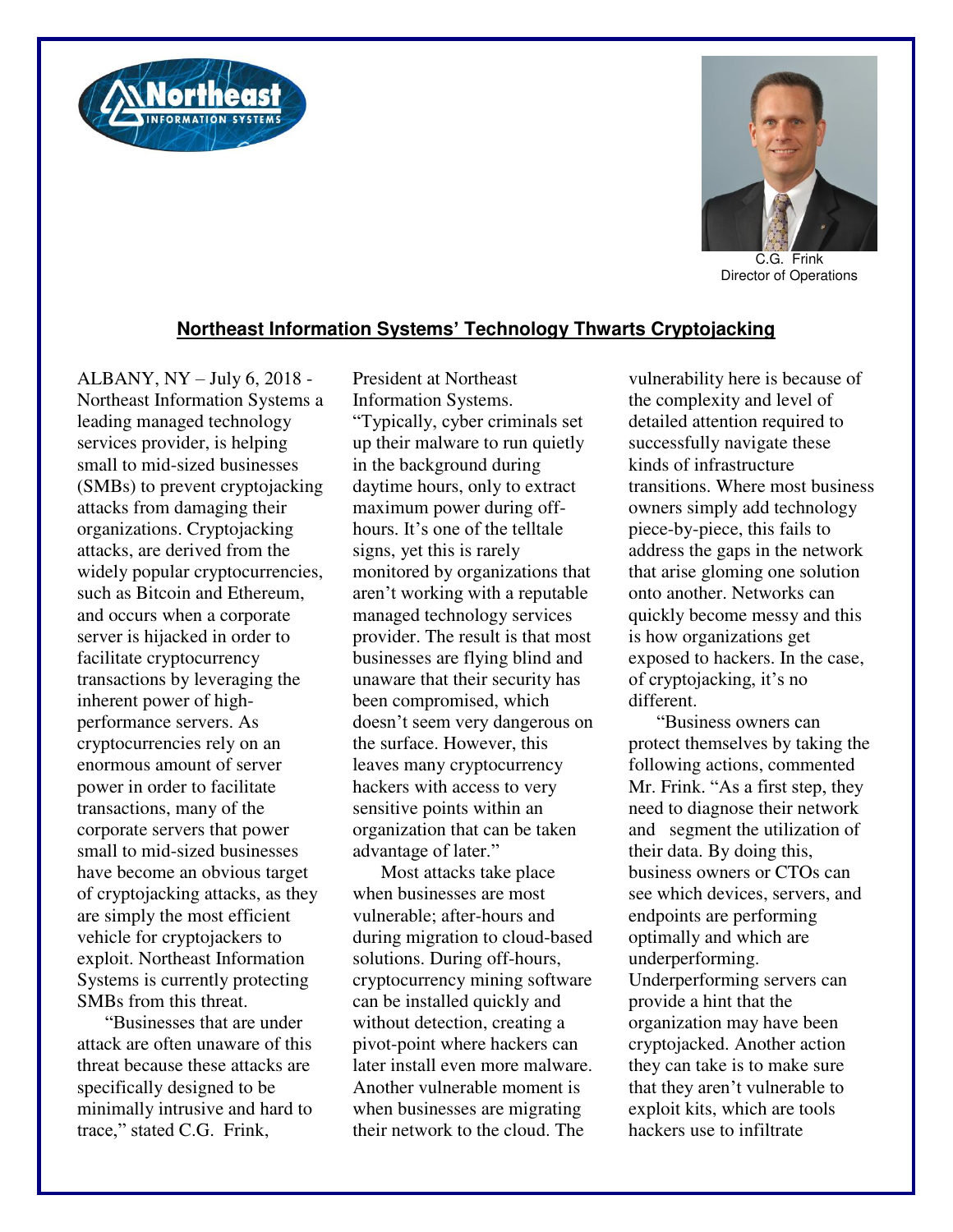



C.G. Frink Director of Operations

## **Northeast Information Systems' Technology Thwarts Cryptojacking**

ALBANY, NY – July 6, 2018 - Northeast Information Systems a leading managed technology services provider, is helping small to mid-sized businesses (SMBs) to prevent cryptojacking attacks from damaging their organizations. Cryptojacking attacks, are derived from the widely popular cryptocurrencies, such as Bitcoin and Ethereum, and occurs when a corporate server is hijacked in order to facilitate cryptocurrency transactions by leveraging the inherent power of highperformance servers. As cryptocurrencies rely on an enormous amount of server power in order to facilitate transactions, many of the corporate servers that power small to mid-sized businesses have become an obvious target of cryptojacking attacks, as they are simply the most efficient vehicle for cryptojackers to exploit. Northeast Information Systems is currently protecting SMBs from this threat.

"Businesses that are under attack are often unaware of this threat because these attacks are specifically designed to be minimally intrusive and hard to trace," stated C.G. Frink,

President at Northeast Information Systems. "Typically, cyber criminals set up their malware to run quietly in the background during daytime hours, only to extract maximum power during offhours. It's one of the telltale signs, yet this is rarely monitored by organizations that aren't working with a reputable managed technology services provider. The result is that most businesses are flying blind and unaware that their security has been compromised, which doesn't seem very dangerous on the surface. However, this leaves many cryptocurrency hackers with access to very sensitive points within an organization that can be taken advantage of later."

Most attacks take place when businesses are most vulnerable; after-hours and during migration to cloud-based solutions. During off-hours, cryptocurrency mining software can be installed quickly and without detection, creating a pivot-point where hackers can later install even more malware. Another vulnerable moment is when businesses are migrating their network to the cloud. The

vulnerability here is because of the complexity and level of detailed attention required to successfully navigate these kinds of infrastructure transitions. Where most business owners simply add technology piece-by-piece, this fails to address the gaps in the network that arise gloming one solution onto another. Networks can quickly become messy and this is how organizations get exposed to hackers. In the case, of cryptojacking, it's no different.

"Business owners can protect themselves by taking the following actions, commented Mr. Frink. "As a first step, they need to diagnose their network and segment the utilization of their data. By doing this, business owners or CTOs can see which devices, servers, and endpoints are performing optimally and which are underperforming. Underperforming servers can provide a hint that the organization may have been cryptojacked. Another action they can take is to make sure that they aren't vulnerable to exploit kits, which are tools hackers use to infiltrate